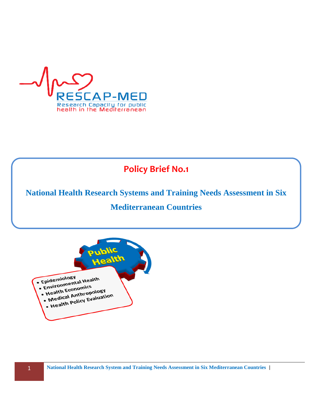

# **Policy Brief No.1**

**National Health Research Systems and Training Needs Assessment in Six** 

# **Mediterranean Countries**

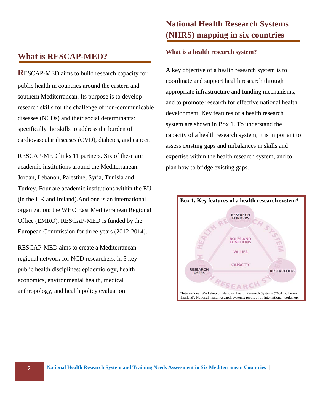# **What is RESCAP-MED?**

**R**ESCAP-MED aims to build research capacity for public health in countries around the eastern and southern Mediterranean. Its purpose is to develop research skills for the challenge of non-communicable diseases (NCDs) and their social determinants: specifically the skills to address the burden of cardiovascular diseases (CVD), diabetes, and cancer.

RESCAP-MED links 11 partners. Six of these are academic institutions around the Mediterranean: Jordan, Lebanon, Palestine, Syria, Tunisia and Turkey. Four are academic institutions within the EU (in the UK and Ireland).And one is an international organization: the WHO East Mediterranean Regional Office (EMRO). RESCAP-MED is funded by the European Commission for three years (2012-2014).

RESCAP-MED aims to create a Mediterranean regional network for NCD researchers, in 5 key public health disciplines: epidemiology, health economics, environmental health, medical anthropology, and health policy evaluation.

# **National Health Research Systems (NHRS) mapping in six countries**

### **What is a health research system?**

A key objective of a health research system is to coordinate and support health research through appropriate infrastructure and funding mechanisms, and to promote research for effective national health development. Key features of a health research system are shown in Box 1. To understand the capacity of a health research system, it is important to assess existing gaps and imbalances in skills and expertise within the health research system, and to plan how to bridge existing gaps.

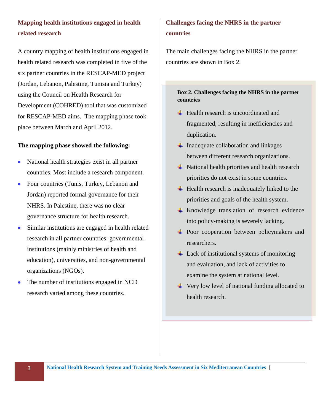## **Mapping health institutions engaged in health related research**

A country mapping of health institutions engaged in health related research was completed in five of the six partner countries in the RESCAP-MED project (Jordan, Lebanon, Palestine, Tunisia and Turkey) using the Council on Health Research for Development (COHRED) tool that was customized for RESCAP-MED aims. The mapping phase took place between March and April 2012.

### **The mapping phase showed the following:**

- National health strategies exist in all partner countries. Most include a research component.
- Four countries (Tunis, Turkey, Lebanon and Jordan) reported formal governance for their NHRS. In Palestine, there was no clear governance structure for health research.
- Similar institutions are engaged in health related research in all partner countries: governmental institutions (mainly ministries of health and education), universities, and non-governmental organizations (NGOs).
- The number of institutions engaged in NCD research varied among these countries.

## **Challenges facing the NHRS in the partner countries**

The main challenges facing the NHRS in the partner countries are shown in Box 2.

### **Box 2. Challenges facing the NHRS in the partner countries**

- $\overline{\mathbf{H}}$  Health research is uncoordinated and fragmented, resulting in inefficiencies and duplication.
- $\downarrow$  Inadequate collaboration and linkages between different research organizations.
- $\overline{\text{+}}$  National health priorities and health research priorities do not exist in some countries.
- $\overline{\phantom{a}}$  Health research is inadequately linked to the priorities and goals of the health system.
- $\overline{\text{K}}$  Knowledge translation of research evidence into policy-making is severely lacking.
- **Poor cooperation between policymakers and** researchers.
- $\downarrow$  Lack of institutional systems of monitoring and evaluation, and lack of activities to examine the system at national level.
- Very low level of national funding allocated to health research.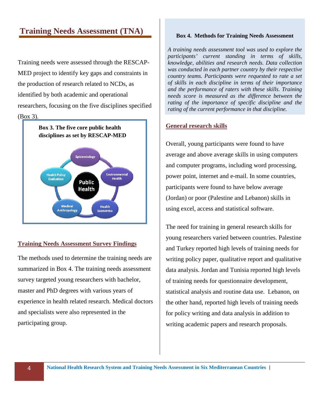# **Training Needs Assessment (TNA)**

Training needs were assessed through the RESCAP-MED project to identify key gaps and constraints in the production of research related to NCDs, as identified by both academic and operational researchers, focusing on the five disciplines specified (Box 3).



### **Training Needs Assessment Survey Findings**

The methods used to determine the training needs are summarized in Box 4. The training needs assessment survey targeted young researchers with bachelor, master and PhD degrees with various years of experience in health related research. Medical doctors and specialists were also represented in the participating group.

#### **Box 4. Methods for Training Needs Assessment**

*A training needs assessment tool was used to explore the participants' current standing in terms of skills, knowledge, abilities and research needs. Data collection was conducted in each partner country by their respective country teams. Participants were requested to rate a set of skills in each discipline in terms of their importance and the performance of raters with these skills. Training needs score is measured as the difference between the rating of the importance of specific discipline and the rating of the current performance in that discipline.* 

### **General research skills**

Overall, young participants were found to have average and above average skills in using computers and computer programs, including word processing, power point, internet and e-mail. In some countries, participants were found to have below average (Jordan) or poor (Palestine and Lebanon) skills in using excel, access and statistical software.

The need for training in general research skills for young researchers varied between countries. Palestine and Turkey reported high levels of training needs for writing policy paper, qualitative report and qualitative data analysis. Jordan and Tunisia reported high levels of training needs for questionnaire development, statistical analysis and routine data use. Lebanon, on the other hand, reported high levels of training needs for policy writing and data analysis in addition to writing academic papers and research proposals.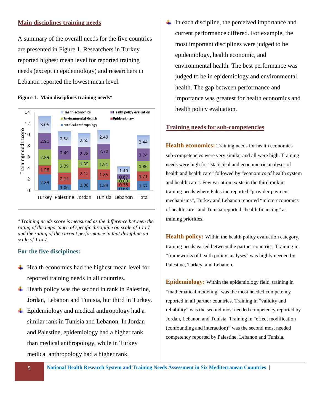### **Main disciplines training needs**

A summary of the overall needs for the five countries are presented in Figure 1. Researchers in Turkey reported highest mean level for reported training needs (except in epidemiology) and researchers in Lebanon reported the lowest mean level.

#### **Figure 1. Main disciplines training needs\***



*\* Training needs score is measured as the difference between the rating of the importance of specific discipline on scale of 1 to 7 and the rating of the current performance in that discipline on scale of 1 to 7.*

#### **For the five disciplines:**

- $\ddot{\text{H}}$  Health economics had the highest mean level for reported training needs in all countries.
- $\overline{\phantom{a}}$  Heath policy was the second in rank in Palestine, Jordan, Lebanon and Tunisia, but third in Turkey.
- $\div$  Epidemiology and medical anthropology had a similar rank in Tunisia and Lebanon. In Jordan and Palestine, epidemiology had a higher rank than medical anthropology, while in Turkey medical anthropology had a higher rank.

 $\ddot{\bullet}$  In each discipline, the perceived importance and current performance differed. For example, the most important disciplines were judged to be epidemiology, health economic, and environmental health. The best performance was judged to be in epidemiology and environmental health. The gap between performance and importance was greatest for health economics and health policy evaluation.

#### **Training needs for sub-competencies**

**Health economics:** Training needs for health economics sub-competencies were very similar and all were high. Training needs were high for "statistical and econometric analyses of health and health care" followed by "economics of health system and health care". Few variation exists in the third rank in training needs where Palestine reported "provider payment mechanisms", Turkey and Lebanon reported "micro-economics of health care" and Tunisia reported "health financing" as training priorities.

**Health policy:** Within the health policy evaluation category, training needs varied between the partner countries. Training in "frameworks of health policy analyses" was highly needed by Palestine, Turkey, and Lebanon.

**Epidemiology:** Within the epidemiology field, training in "mathematical modeling" was the most needed competency reported in all partner countries. Training in "validity and reliability" was the second most needed competency reported by Jordan, Lebanon and Tunisia. Training in "effect modification (confounding and interaction)" was the second most needed competency reported by Palestine, Lebanon and Tunisia.

5 **National Health Research System and Training Needs Assessment in Six Mediterranean Countries** |